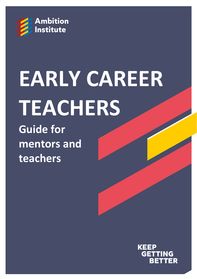

# **EARLY CAREER TEACHERS**

**Guide for mentors and teachers**

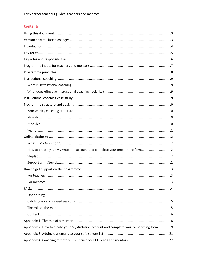# **Contents**

| How to create your My Ambition account and complete your onboarding form12              |
|-----------------------------------------------------------------------------------------|
|                                                                                         |
|                                                                                         |
|                                                                                         |
|                                                                                         |
|                                                                                         |
|                                                                                         |
|                                                                                         |
|                                                                                         |
|                                                                                         |
|                                                                                         |
|                                                                                         |
| Appendix 2: How to create your My Ambition account and complete your onboarding form 19 |
|                                                                                         |
|                                                                                         |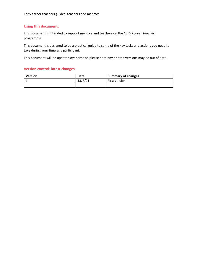Early career teachers guides: teachers and mentors

## <span id="page-2-0"></span>**Using this document:**

This document is intended to support mentors and teachers on the *Early Career Teachers* programme.

This document is designed to be a practical guide to some of the key tasks and actions you need to take during your time as a participant.

This document will be updated over time so please note any printed versions may be out of date.

## <span id="page-2-1"></span>**Version control: latest changes**

| Version | Date    | <b>Summary of changes</b> |  |
|---------|---------|---------------------------|--|
|         | 13/7/21 | First version             |  |
|         |         |                           |  |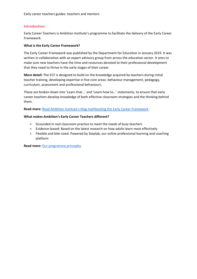Early career teachers guides: teachers and mentors

## <span id="page-3-0"></span>**Introduction:**

Early Career Teachers is Ambition Institute's programme to facilitate the delivery of the Early Career Framework.

## **What is the Early Career Framework?**

The Early Career Framework was published by the Department for Education in January 2019. It was written in collaboration with an expert advisory group from across the education sector. It aims to make sure new teachers have the time and resources devoted to their professional development that they need to thrive in the early stages of their career.

**More detail:** The ECF is designed to build on the knowledge acquired by teachers during initial teacher training, developing expertise in five core areas: behaviour management, pedagogy, curriculum, assessment and professional behaviours.

These are broken down into 'Learn that…' and 'Learn how to…' statements, to ensure that early career teachers develop knowledge of both effective classroom strategies and the thinking behind them.

**Read more:** [Read Ambition Institute's blog mythbusting the Early Career Framework](https://www.ambition.org.uk/blog/mythbusting-early-career-framework/).

## **What makes Ambition's Early Career Teachers different?**

- > Grounded in real classroom practice to meet the needs of busy teachers
- > Evidence-based: Based on the latest research on how adults learn most effectively
- > Flexible and bite-sized: Powered by Steplab, our online professional learning and coaching platform

**Read more:** [Our programme principles](#page-7-0)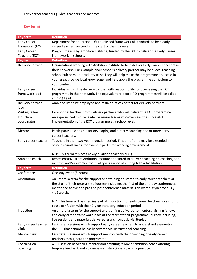# <span id="page-4-0"></span>**Key terms**

| <b>Key term</b>                | <b>Definition</b>                                                                                                                                                           |
|--------------------------------|-----------------------------------------------------------------------------------------------------------------------------------------------------------------------------|
| Early career                   | Department for Education (DfE) published framework of standards to help early                                                                                               |
| framework (ECF)                | career teachers succeed at the start of their careers.                                                                                                                      |
| <b>Early Career</b>            | Programme run by Ambition Institute, funded by the DfE to deliver the Early Career                                                                                          |
| Teachers (ECT)                 | Framework in schools.                                                                                                                                                       |
| <b>Key term</b>                | <b>Definition</b>                                                                                                                                                           |
| Delivery partner               | Organisations working with Ambition Institute to help deliver Early Career Teachers in                                                                                      |
|                                | their networks. For example, your school's delivery partner may be a local teaching                                                                                         |
|                                | school hub or multi-academy trust. They will help make the programme a success in                                                                                           |
|                                | your area, provide local knowledge, and help apply the programme curriculum to<br>your context.                                                                             |
|                                |                                                                                                                                                                             |
| Early career<br>framework lead | Individual within the delivery partner with responsibility for overseeing the ECT<br>programme in their network. The equivalent role for NPQ programmes will be called      |
|                                | an NPQ Lead.                                                                                                                                                                |
| Delivery partner               | Ambition Institute employee and main point of contact for delivery partners.                                                                                                |
| lead                           |                                                                                                                                                                             |
| Visiting fellow                | Exceptional teachers from delivery partners who will deliver the ECT programme.                                                                                             |
| Induction                      | An experienced middle leader or senior leader who oversees the successful                                                                                                   |
| coordinator                    | implementation of the ECT programme at a school level.                                                                                                                      |
|                                |                                                                                                                                                                             |
| Mentor                         | Participants responsible for developing and directly coaching one or more early                                                                                             |
|                                | career teachers.                                                                                                                                                            |
| Early career teacher           | Teachers in their two-year induction period. This timeframe may be extended in                                                                                              |
|                                | some circumstances, for example part-time working arrangements.                                                                                                             |
|                                | N. B. This term replaces newly qualified teacher (NQT).                                                                                                                     |
| Ambition coach                 | Representative from Ambition Institute appointed to deliver coaching on coaching for                                                                                        |
|                                | mentors and/or oversee the quality assurance of visiting fellow facilitation.                                                                                               |
| <b>Key term</b>                | <b>Definition</b>                                                                                                                                                           |
| Conferences                    | One-day event (6 hours)                                                                                                                                                     |
| Orientation                    | An umbrella term for the support and training delivered to early career teachers at                                                                                         |
|                                | the start of their programme journey including, the first of the one-day conferences                                                                                        |
|                                | mentioned above and pre and post conference materials delivered asynchronously                                                                                              |
|                                | via Steplab.                                                                                                                                                                |
|                                |                                                                                                                                                                             |
|                                | N.B. This term will be used instead of 'induction' for early career teachers so as not to                                                                                   |
|                                | cause confusion with their 2-year statutory induction period.                                                                                                               |
| Induction                      | An umbrella term for the support and training delivered to mentors, visiting fellows<br>and early career framework leads at the start of their programme journey including, |
|                                | live sessions and materials delivered asynchronously via Steplab.                                                                                                           |
| Early career teacher           | Facilitated sessions which support early career teachers to understand elements of                                                                                          |
| clinic                         | the ECF that cannot be easily covered via instructional coaching.                                                                                                           |
| Mentor clinic                  | Facilitated sessions which support mentors with their coaching of early career                                                                                              |
|                                | teachers throughout the programme.                                                                                                                                          |
| Coaching on                    | A 1-1 session between a mentor and a visiting fellow or ambition coach offering                                                                                             |
| coaching                       | bespoke feedback and guidance on instructional coaching practice.                                                                                                           |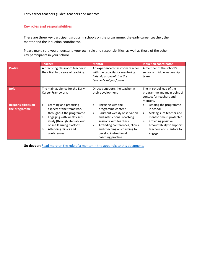## <span id="page-5-0"></span>**Key roles and responsibilities**

There are three key participant groups in schools on the programme: the early career teacher, their mentor and the induction coordinator.

Please make sure you understand your own role and responsibilities, as well as those of the other key participants in your school.

|                                             | <b>Teacher</b>                                                                                                                                                                                                                         | <b>Mentor</b>                                                                                                                                                                                                                                                               | <b>Induction coordinator</b>                                                                                                                                                                                 |  |  |
|---------------------------------------------|----------------------------------------------------------------------------------------------------------------------------------------------------------------------------------------------------------------------------------------|-----------------------------------------------------------------------------------------------------------------------------------------------------------------------------------------------------------------------------------------------------------------------------|--------------------------------------------------------------------------------------------------------------------------------------------------------------------------------------------------------------|--|--|
| <b>Profile</b>                              | A practicing classroom teacher in<br>their first two years of teaching.                                                                                                                                                                | An experienced classroom teacher<br>with the capacity for mentoring.<br>*Ideally a specialist in the<br>teacher's subject/phase                                                                                                                                             | A member of the school's<br>senior or middle leadership<br>team.                                                                                                                                             |  |  |
| <b>Role</b>                                 | The main audience for the Early<br>Career Framework.                                                                                                                                                                                   | Directly supports the teacher in<br>their development.                                                                                                                                                                                                                      | The in-school lead of the<br>programme and main point of<br>contact for teachers and<br>mentors.                                                                                                             |  |  |
| <b>Responsibilities on</b><br>the programme | Learning and practising<br>$\geq$<br>aspects of the framework<br>throughout the programme.<br>Engaging with weekly self-<br>><br>study (through Steplab, our<br>online learning platform)<br>Attending clinics and<br>><br>conferences | Engaging with the<br>$\geq$<br>programme content<br>Carry out weekly observation<br>$\geq$<br>and instructional coaching<br>sessions with teachers<br>Attending conferences, clinics<br>$\geq$<br>and coaching on coaching to<br>develop instructional<br>coaching practice | Leading the programme<br>><br>in school<br>Making sure teacher and<br>$\,>\,$<br>mentor time is protected.<br>Providing positive<br>$\geq$<br>accountability to support<br>teachers and mentors to<br>engage |  |  |

Go deeper: **[Read more on the role of a mentor in the appendix to this document.](#page-15-1)**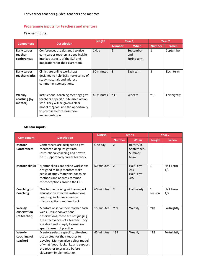Early career teachers guides: teachers and mentors

# <span id="page-6-0"></span>**Programme inputs for teachers and mentors**

# **Teacher inputs:**

|                                        |                                                                                                                                                                                                              | Length     | Year 1         |                                  | Year 2        |             |
|----------------------------------------|--------------------------------------------------------------------------------------------------------------------------------------------------------------------------------------------------------------|------------|----------------|----------------------------------|---------------|-------------|
| <b>Component</b>                       | <b>Description</b>                                                                                                                                                                                           |            | <b>Number</b>  | When                             | <b>Number</b> | When        |
| Early career<br>teacher<br>conferences | Conferences are designed to give<br>early career teachers a deep insight<br>into key aspects of the ECF and<br>implications for their classroom.                                                             | 1 day      | 2              | September<br>and<br>Spring term. | $\mathbf{1}$  | September   |
| <b>Early career</b><br>teacher clinics | Clinics are online workshops<br>designed to help ECTs make sense of<br>study materials and address<br>common misconceptions.                                                                                 | 60 minutes | $\overline{3}$ | Each term                        | $\mathbf{3}$  | Each term   |
| Weekly<br>coaching (by<br>mentor)      | Instructional coaching meetings give<br>teachers a specific, bite-sized action<br>step. They will be given a clear<br>model of 'good' and the opportunity<br>to practise before classroom<br>implementation. | 45 minutes | $~^{\sim}39$   | Weekly                           | $^{\sim}18$   | Fortnightly |

# **Mentor inputs:**

|                                       |                                                                                                                                                                                                                          | Length     | Year 1         |                                                    | Year <sub>2</sub>       |                         |
|---------------------------------------|--------------------------------------------------------------------------------------------------------------------------------------------------------------------------------------------------------------------------|------------|----------------|----------------------------------------------------|-------------------------|-------------------------|
| <b>Component</b>                      | <b>Description</b>                                                                                                                                                                                                       |            | <b>Number</b>  | When                                               | Length                  | When                    |
| <b>Mentor</b><br><b>Conferences</b>   | Conferences are designed to give<br>mentors a deep insight into<br>instructional coaching and how to<br>best support early career teachers.                                                                              | One day    | $\overline{2}$ | Before/In<br>September.<br>Summer<br>term.         |                         |                         |
| <b>Mentor clinics</b>                 | Mentor clinics are online workshops<br>designed to help mentors make<br>sense of study materials, coaching<br>methods and address common<br>misconceptions around the ECF.                                               | 60 minutes | $\overline{2}$ | <b>Half Term</b><br>2/3<br><b>Half Term</b><br>4/5 | $\mathbf{1}$            | <b>Half Term</b><br>1/2 |
| Coaching on<br>Coaching               | One to one training with an expert<br>educator on effective instructional<br>coaching, including common<br>misconceptions and feedback.                                                                                  | 60 minutes | $\overline{2}$ | Half yearly                                        | $\mathbf{1}$<br>session | <b>Half Term</b><br>1/2 |
| Weekly<br>observation<br>(of teacher) | Mentors observe their teacher each<br>week. Unlike conventional<br>observations, these are not judging<br>the effectiveness of a teacher. They<br>are short and sharply focused on<br>specific areas of practice         | 15 minutes | $~^{\sim}39$   | Weekly                                             | $^{\sim}$ 18            | Fortnightly             |
| Weekly<br>coaching (of<br>teacher)    | Mentors select a specific, bite-sized<br>action step for their teacher to<br>develop. Mentors give a clear model<br>of what 'good' looks like and support<br>the teacher to practise before<br>classroom implementation. | 45 minutes | $~^{\sim}39$   | Weekly                                             | $^{\sim}$ 18            | Fortnightly             |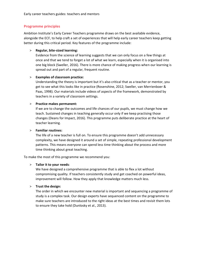# <span id="page-7-0"></span>**Programme principles**

Ambition Institute's Early Career Teachers programme draws on the best available evidence, alongside the ECF, to help craft a set of experiences that will help early career teachers keep getting better during this critical period. Key features of the programme include:

## > **Regular, bite-sized learning:**

Evidence from the science of learning suggests that we can only focus on a few things at once and that we tend to forget a lot of what we learn, especially when it is organised into one big block (Sweller, 2016). There is more chance of making progress when our learning is spread out and part of a regular, frequent routine.

## > **Examples of classroom practice:**

Understanding the theory is important but it's also critical that as a teacher or mentor, you get to see what this looks like in practice (Rosenshine, 2012; Sweller, van Merrienboer & Paas, 1998). Our materials include videos of aspects of the framework, demonstrated by teachers in a variety of classroom settings.

## > **Practice makes permanent:**

If we are to change the outcomes and life chances of our pupils, we must change how we teach. Sustained changes in teaching generally occur only if we keep practising those changes (Deans for Impact, 2016). This programme puts deliberate practice at the heart of teacher learning.

## > **Familiar routines:**

The life of a new teacher is full on. To ensure this programme doesn't add unnecessary complexity, we have designed it around a set of simple, repeating professional development patterns. This means everyone can spend less time thinking about the process and more time thinking about great teaching.

To make the most of this programme we recommend you:

## > **Tailor it to your needs**:

We have designed a comprehensive programme that is able to flex a lot without compromising quality. If teachers consistently study and get coached on powerful ideas, improvement will follow. How they apply that knowledge matters much less.

## > **Trust the design:**

The order in which we encounter new material is important and sequencing a programme of study is a complex task. Our design experts have sequenced content on the programme to make sure teachers are introduced to the right ideas at the best times and revisit them lots to ensure they take hold (Dunlosky et al., 2013).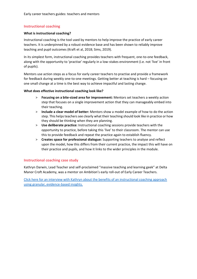# <span id="page-8-0"></span>**Instructional coaching**

#### <span id="page-8-1"></span>**What is instructional coaching?**

Instructional coaching is the tool used by mentors to help improve the practice of early career teachers. It is underpinned by a robust evidence base and has been shown to reliably improve teaching and pupil outcomes (Kraft et al, 2018; Sims, 2019).

In its simplest form, instructional coaching provides teachers with frequent, one-to-one feedback, along with the opportunity to 'practise' regularly in a low-stakes environment (i.e. not 'live' in front of pupils).

Mentors use action steps as a focus for early career teachers to practise and provide a framework for feedback during weekly one-to-one meetings. Getting better at teaching is hard – focusing on one small change at a time is the best way to achieve impactful and lasting change.

## <span id="page-8-2"></span>**What does effective instructional coaching look like?**

- > **Focusing on a bite-sized area for improvement:** Mentors set teachers a weekly action step that focuses on a single improvement action that they can manageably embed into their teaching.
- > **Include a clear model of better:** Mentors show a model example of how to do the action step. This helps teachers see clearly what their teaching should look like in practice or how they should be thinking when they are planning.
- > **Use deliberate practice:** Instructional coaching sessions provide teachers with the opportunity to practice, before taking this 'live' to their classroom. The mentor can use this to provide feedback and repeat the practice again to establish fluency.
- > **Creates space for professional dialogue:** Supporting teachers to analyse and reflect upon the model, how this differs from their current practice, the impact this will have on their practice and pupils, and how it links to the wider principles in the module.

## <span id="page-8-3"></span>**Instructional coaching case study**

Kathryn Darwin, Lead Teacher and self-proclaimed "massive teaching and learning geek" at Delta Manor Croft Academy, was a mentor on Ambition's early roll-out of Early Career Teachers.

Click here for an interview with Kathryn [about the benefits of an instructional coaching approach](https://www.ambition.org.uk/blog/instructional-coaching-is-the-new-mentoring-with-the-early-career-framework/)  [using granular, evidence-based insights.](https://www.ambition.org.uk/blog/instructional-coaching-is-the-new-mentoring-with-the-early-career-framework/)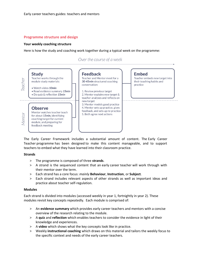#### <span id="page-9-0"></span>**Programme structure and design**

#### <span id="page-9-1"></span>**Your weekly coaching structure**

Here is how the study and coaching work together during a typical week on the programme:

Over the course of a week



The Early Career Framework includes a substantial amount of content. The Early Career Teacher programme has been designed to make this content manageable, and to support teachers to embed what they have learned into their classroom practice.

#### <span id="page-9-2"></span>**Strands**

- > The programme is composed of three **strands**.
- > A strand is the sequenced content that an early career teacher will work through with their mentor over the term.
- > Each strand has a core focus: *mainly* **Behaviour**, **Instruction**, or **Subject**.
- > Each strand includes relevant aspects of other strands as well as important ideas and practice about teacher self-regulation.

#### <span id="page-9-3"></span>**Modules**

Each strand is divided into modules (accessed weekly in year 1, fortnightly in year 2). These modules revisit key concepts repeatedly. Each module is comprised of:

- > An **evidence summary** which provides early career teachers and mentors with a concise overview of the research relating to the module.
- > A **quiz** and **reflection** which enables teachers to consider the evidence in light of their knowledge and experiences.
- > A **video** which shows what the key concepts look like in practice.
- > Weekly **instructional coaching** which draws on this material and tailors the weekly focus to the specific context and needs of the early career teachers.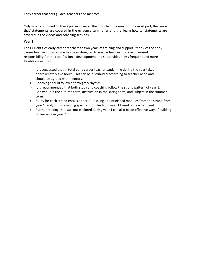Only when combined do these pieces cover all the module outcomes. For the most part, the 'learn that' statements are covered in the evidence summaries and the 'learn how to' statements are covered in the videos and coaching sessions.

#### <span id="page-10-0"></span>**Year 2**

The ECF entitles early career teachers to two years of training and support. Year 2 of the early career teachers programme has been designed to enable teachers to take increased responsibility for their professional development and so provides a less frequent and more flexible curriculum.

- > It is suggested that in total early career teacher study time during the year takes approximately five hours. This can be distributed according to teacher need and should be agreed with mentors.
- > Coaching should follow a fortnightly rhythm.
- > It is recommended that both study and coaching follow the strand pattern of year 1: Behaviour in the autumn term, Instruction in the spring term, and Subject in the summer term.
- > Study for each strand entails either (A) picking up unfinished modules from the strand from year 1, and/or (B) revisiting specific modules from year 1 based on teacher need.
- > Further reading that was not explored during year 1 can also be an effective way of building on learning in year 2.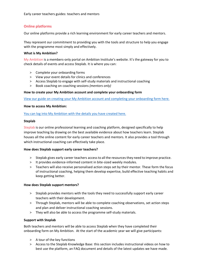# <span id="page-11-0"></span>**Online platforms**

Our online platforms provide a rich learning environment for early career teachers and mentors.

They represent our commitment to providing you with the tools and structure to help you engage with the programme most simply and effectively.

#### <span id="page-11-1"></span>**What is My Ambition?**

My Ambition is a members-only portal on Ambition Institute's website. It's the gateway for you to check details of events and access Steplab. It is where you can:

- > Complete your onboarding forms
- > View your event details for clinics and conferences
- > Access Steplab to engage with self-study materials and instructional coaching
- > Book coaching on coaching sessions *(mentors only)*

#### <span id="page-11-2"></span>**How to create your My Ambition account and complete your onboarding form**

[View our guide on creating your My Ambition account and completing your onboarding form here.](#page-15-1)

#### **How to access My Ambition:**

[You can log into My Ambition with the details you have created here.](https://www.my.ambition.org.uk/s/login/?ec=302&startURL=%2Fs%2F)

#### <span id="page-11-3"></span>**Steplab**

Steplab is our online professional learning and coaching platform, designed specifically to help improve teaching by drawing on the best available evidence about how teachers learn. Steplab houses all the online content for early career teachers and mentors. It also provides a tool through which instructional coaching can effectively take place.

#### **How does Steplab support early career teachers?**

- > Steplab gives early career teachers access to all the resources they need to improve practice.
- > It provides evidence-informed content in bite-sized weekly modules.
- > Teachers will also receive personalised action steps set by their mentor. These form the focus of instructional coaching, helping them develop expertise, build effective teaching habits and keep getting better.

#### **How does Steplab support mentors?**

- > Steplab provides mentors with the tools they need to successfully support early career teachers with their development.
- > Through Steplab, mentors will be able to complete coaching observations, set action steps and plan and deliver instructional coaching sessions.
- > They will also be able to access the programme self-study materials.

#### <span id="page-11-4"></span>**Support with Steplab**

Both teachers and mentors will be able to access Steplab when they have completed their onboarding form on My Ambition. At the start of the academic year we will give participants:

- > A tour of the key functions
- > Access to the Steplab Knowledge Base: this section includes instructional videos on how to best use the platform, an FAQ document and details of the latest updates we have made.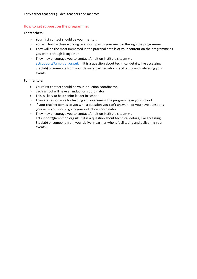## <span id="page-12-0"></span>**How to get support on the programme:**

#### <span id="page-12-1"></span>**For teachers:**

- > Your first contact should be your mentor.
- > You will form a close working relationship with your mentor through the programme.
- > They will be the most immersed in the practical details of your content on the programme as you work through it together.
- > They may encourage you to contact Ambition Institute's team via [ectsupport@ambition.org.uk](mailto:ectsupport@ambition.org.uk) (if it is a question about technical details, like accessing Steplab) or someone from your delivery partner who is facilitating and delivering your events.

#### <span id="page-12-2"></span>**For mentors:**

- > Your first contact should be your induction coordinator.
- > Each school will have an induction coordinator.
- > This is likely to be a senior leader in school.
- > They are responsible for leading and overseeing the programme in your school.
- > If your teacher comes to you with a question you can't answer or you have questions yourself – you should go to your induction coordinator.
- > They may encourage you to contact Ambition Institute's team via ectsupport@ambition.org.uk (if it is a question about technical details, like accessing Steplab) or someone from your delivery partner who is facilitating and delivering your events.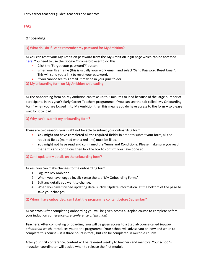# <span id="page-13-0"></span>**FAQ**

# <span id="page-13-1"></span>**Onboarding**

Q) What do I do if I can't remember my password for My Ambition?

A) You can reset your My Ambition password from the My Ambition login page which can be accessed [here.](https://www.my.ambition.org.uk/s/login/?ec=302&startURL=%2Fs%2F) You need to use the Google Chrome browser to do this.

- > Click the 'Forgot your password?' button.
- > Enter your Username (this is usually your work email) and select 'Send Password Reset Email'. This will send you a link to reset your password.
- > If you cannot see this email, it may be in your junk folder.

Q) My onboarding form on My Ambition isn't loading

A) The onboarding form on My Ambition can take up to 2 minutes to load because of the large number of participants in this year's Early Career Teachers programme. If you can see the tab called 'My Onboarding Form' when you are logged in to My Ambition then this means you do have access to the form – so please wait for it to load.

## Q) Why can't I submit my onboarding form?

There are two reasons you might not be able to submit your onboarding form:

- > **You might not have completed all the required fields:** in order to submit your form, all the required fields (marked with a red line) must be filled.
- > **You might not have read and confirmed the Terms and Conditions:** Please make sure you read the terms and conditions then tick the box to confirm you have done so.

## Q) Can I update my details on the onboarding form?

A) Yes, you can make changes to the onboarding form:

- 1. Log into My Ambition.
- 2. When you have logged in, click onto the tab 'My Onboarding Forms'
- 3. Edit any details you want to change.
- 4. When you have finished updating details, click 'Update Information' at the bottom of the page to save your changes.

#### Q) When I have onboarded, can I start the programme content before September?

A) **Mentors:** After completing onboarding you will be given access a Steplab course to complete before your induction conference (*pre-conference orientation*)

**Teachers:** After completing onboarding, you will be given access to a Steplab course called *teacher orientation* which introduces you to the programme. Your school will advise you on how and when to complete this course – it is three hours in total, but can be completed in multiple chunks.

After your first conference, content will be released weekly to teachers and mentors. Your school's induction coordinator will decide when to release the first module.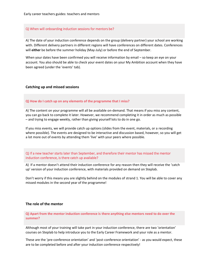#### Q) When will onboarding induction sessions for mentors be?

A) The date of your induction conference depends on the group (delivery partner) your school are working with. Different delivery partners in different regions will have conferences on different dates. Conferences will **either** be before the summer holiday (May-July) or before the end of September.

When your dates have been confirmed you will receive information by email – so keep an eye on your account. You also should be able to check your event dates on your My Ambition account when they have been agreed (under the 'events' tab).

#### <span id="page-14-0"></span>**Catching up and missed sessions**

#### **Q) How do I catch up on any elements of the programme that I miss?**

A) The content on your programme will all be available on-demand. That means if you miss any content, you can go back to complete it later. However, we recommend completing it in order as much as possible – and trying to engage weekly, rather than giving yourself lots to do in one go.

If you miss events, we will provide catch up options (slides from the event, materials, or a recording where possible). The events are designed to be interactive and discussion based, however, so you will get a lot more out of events by attending them 'live' with your peers where possible.

#### Q) If a new teacher starts later than September, and therefore their mentor has missed the mentor induction conference, is there catch up available?

A) If a mentor doesn't attend their induction conference for any reason then they will receive the 'catch up' version of your induction conference, with materials provided on demand on Steplab.

Don't worry if this means you are slightly behind on the modules of strand 1. You will be able to cover any missed modules in the second year of the programme!

#### <span id="page-14-1"></span>**The role of the mentor**

**Q) Apart from the mentor induction conference is there anything else mentors need to do over the summer?** 

Although most of your training will take part in your induction conference, there are two 'orientation' courses on Steplab to help introduce you to the Early Career Framework and your role as a mentor.

These are the 'pre-conference orientation' and 'post-conference orientation' - as you would expect, these are to be completed before and after your induction conference respectively!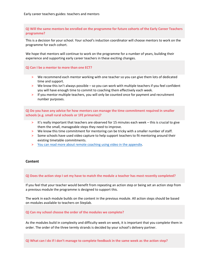**Q) Will the same mentors be enrolled on the programme for future cohorts of the Early Career Teachers programme?**

This is a decision for your school. Your school's induction coordinator will choose mentors to work on the programme for each cohort.

We hope that mentors will continue to work on the programme for a number of years, building their experience and supporting early career teachers in these exciting changes.

#### **Q) Can I be a mentor to more than one ECT?**

- > We recommend each mentor working with one teacher so you can give them lots of dedicated time and support.
- > We know this isn't always possible so you can work with multiple teachers if you feel confident you will have enough time to commit to coaching them effectively each week.
- > If you mentor multiple teachers, you will only be counted once for payment and recruitment number purposes.

**Q) Do you have any advice for how mentors can manage the time commitment required in smaller schools (e.g. small rural schools or 1FE primaries)?** 

- > It's really important that teachers are observed for 15 minutes each week this is crucial to give them the small, manageable steps they need to improve.
- > We know this time commitment for mentoring can be tricky with a smaller number of staff.
- > Some schools have used video capture to help support teachers to fit mentoring around their existing timetable commitments.
- <span id="page-15-1"></span>> [You can read more about remote coaching using video in the appendix.](#page-21-0)

#### <span id="page-15-0"></span>**Content**

#### **Q) Does the action step I set my have to match the module a teacher has most recently completed?**

If you feel that your teacher would benefit from repeating an action step or being set an action step from a previous module the programme is designed to support this.

The work in each module builds on the content in the previous module. All action steps should be based on modules available to teachers on Steplab.

#### **Q) Can my school choose the order of the modules we complete?**

As the modules build in complexity and difficulty week on week, it is important that you complete them in order. The order of the three termly strands is decided by your school's delivery partner.

**Q) What can I do if I don't manage to complete feedback in the same week as the action step?**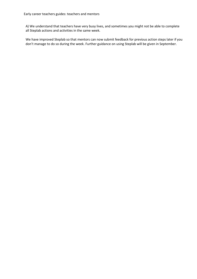A) We understand that teachers have very busy lives, and sometimes you might not be able to complete all Steplab actions and activities in the same week.

We have improved Steplab so that mentors can now submit feedback for previous action steps later if you don't manage to do so during the week. Further guidance on using Steplab will be given in September.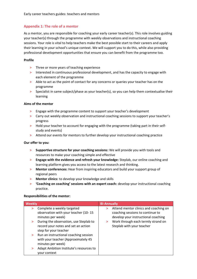# <span id="page-17-0"></span>**Appendix 1: The role of a mentor**

As a mentor, you are responsible for coaching your early career teacher(s). This role involves guiding your teacher(s) through the programme with weekly observations and instructional coaching sessions. Your role is vital to help teachers make the best possible start to their careers and apply their learning in your school's unique context. We will support you to do this, while also providing professional development opportunities that ensure you can benefit from the programme too.

## **Profile**

- > Three or more years of teaching experience
- > Interested in continuous professional development, and has the capacity to engage with each element of the programme
- > Able to act as the point of contact for any concerns or queries your teacher has on the programme
- > Specialist in same subject/phase as your teacher(s), so you can help them contextualise their learning

## **Aims of the mentor**

- > Engage with the programme content to support your teacher's development
- > Carry out weekly observation and instructional coaching sessions to support your teacher's progress
- > Hold your teacher to account for engaging with the programme (taking part in their selfstudy and events)
- > Attend our events for mentors to further develop your instructional coaching practice

#### **Our offer to you:**

- > **Supportive structure for your coaching sessions:** We will provide you with tools and resources to make your coaching simple and effective
- > **Engage with the evidence and refresh your knowledge:** Steplab, our online coaching and learning platform gives you access to the latest research and thinking.
- > **Mentor conferences:** Hear from inspiring educators and build your support group of regional peers
- > **Mentor clinics:** to develop your knowledge and skills
- > **'Coaching on coaching' sessions with an expert coach:** develop your instructional coaching practice.

#### **Responsibilities of the mentor:**

| <b>Weekly</b> |                                                                                                        | <b>Bi-Annually</b> |                                                                                                                  |
|---------------|--------------------------------------------------------------------------------------------------------|--------------------|------------------------------------------------------------------------------------------------------------------|
| ⋗             | Complete a weekly targeted<br>observation with your teacher (10-15<br>minutes per week)                | >                  | Attend mentor clinics and coaching on<br>coaching sessions to continue to<br>develop your instructional coaching |
| $\geq$        | During the observation, use Steplab to<br>record your notes and set an action<br>step for your teacher | >                  | Work through each termly strand on<br>Steplab with your teacher                                                  |
| $\geq$        | Run an instructional coaching session<br>with your teacher (Approximately 45<br>minutes per week)      |                    |                                                                                                                  |
| >             | Adapt Ambition Institute's resources to<br>your context                                                |                    |                                                                                                                  |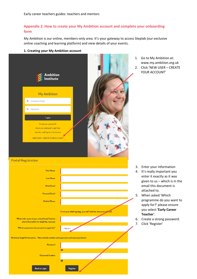# <span id="page-18-0"></span>**Appendix 2: How to create your My Ambition account and complete your onboarding form**

My Ambition is our online, members-only area. It's your gateway to access Steplab (our exclusive online coaching and learning platform) and view details of your events.

#### **1. Creating your My Ambition account**



- 1. Go to My Ambition at: www.my.ambition.org.uk 2. Click 'NEW USER – CREATE
- YOUR ACCOUNT'

- 3. Enter your information
- 4. It's really important you enter it exactly as it was given to us – which is in the email this document is attached to.
- 5. When asked 'Which programme do you want to apply for?' please ensure you select **'Early Career Teacher**'.
- 6. Create a strong password.
- 7. Click 'Register'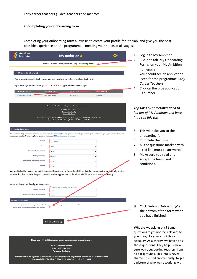## **2. Completing your onboarding form.**

Completing your onboarding form allows us to create your profile for Steplab, and give you the best possible experience on the programme – meeting your needs at all stages.

| Ambition<br>Institute                                                                                                                                                           | My Ambition <b>A</b>                                                                                                                                                                                                                                        |                          | 1.<br>2. | Log in to My Ambition<br>Click the tab 'My Onboarding                        |
|---------------------------------------------------------------------------------------------------------------------------------------------------------------------------------|-------------------------------------------------------------------------------------------------------------------------------------------------------------------------------------------------------------------------------------------------------------|--------------------------|----------|------------------------------------------------------------------------------|
|                                                                                                                                                                                 | Home Events My Application My Onboarding Forms                                                                                                                                                                                                              |                          |          | Forms' on your My Ambition                                                   |
| My Onboarding Form(s)                                                                                                                                                           |                                                                                                                                                                                                                                                             |                          |          | homepage<br>3. You should see an application                                 |
|                                                                                                                                                                                 | Please select the application for the programme you wish to complete an on-boarding form for.                                                                                                                                                               |                          |          | listed for the programme Early                                               |
|                                                                                                                                                                                 | If you have any question, please get in contact with us at applications@ambition.org.uk.                                                                                                                                                                    |                          |          | <b>Career Teachers</b>                                                       |
| <b>ERX APPLICATION ID</b>                                                                                                                                                       | <b>PROGRAMME NAME</b><br><b>COHODT NAME</b>                                                                                                                                                                                                                 | <b>ADMISSIONS STATUS</b> | 4.       | Click on the blue application                                                |
| App ID-15035 (Active)                                                                                                                                                           | <b>Early Career Teacher</b><br>Fern DP ECF                                                                                                                                                                                                                  | Participant              |          | ID number.                                                                   |
|                                                                                                                                                                                 | Please note - My Ambition can take up to one minute to load on some browsers                                                                                                                                                                                |                          |          | Top tip: You sometimes need to                                               |
|                                                                                                                                                                                 | @ 2021 Ambition Institute<br><b>Privacy and Cookie Policy</b><br><b>Terms and Conditions</b>                                                                                                                                                                |                          |          | log out of My Ambition and back                                              |
|                                                                                                                                                                                 | Ambition Institute is a registered charity (1146924) and company limited by guarantee (07984030) in England and Wales.<br>Registered office: The Yellow Building, 1, Nicholas Road, London, W11 4AN                                                         |                          |          | in to see this tab                                                           |
| <b>Monitoring Information</b>                                                                                                                                                   |                                                                                                                                                                                                                                                             |                          |          |                                                                              |
| look after your data but if you have any further questions, please email ECTregistration@ambition.org.uk                                                                        | While you're not obliged to disclose this data, doing so will support us in ensuring that our programmes are reaching a diverse range of educators. Our privacy policy outlines how we will                                                                 |                          | 5.       | This will take you to the<br>onboarding form                                 |
| <b>Birthdate</b>                                                                                                                                                                | DD/MM/YYYY                                                                                                                                                                                                                                                  |                          | 6.       | Complete the form                                                            |
| Gende                                                                                                                                                                           | -None-                                                                                                                                                                                                                                                      |                          | 7.       | All the questions marked with                                                |
| Do you Identify as transgender?                                                                                                                                                 | None-                                                                                                                                                                                                                                                       |                          |          | a red line must be answered.                                                 |
| What Is your sexuality?                                                                                                                                                         | -None--                                                                                                                                                                                                                                                     |                          |          | 8. Make sure you read and                                                    |
| Do you have an Impairment or disability?                                                                                                                                        | -None--                                                                                                                                                                                                                                                     |                          |          | accept the terms and<br>conditions.                                          |
| <b>Ethnicit</b>                                                                                                                                                                 | -None--                                                                                                                                                                                                                                                     | Ÿ                        |          |                                                                              |
|                                                                                                                                                                                 | We would also like to pass your details onto the Department for Education (DfE) so that they can contact you with details of other<br>services that they provide. Do you consent to us sharing your contact details with DfE for the purposes of marketing? |                          |          |                                                                              |
| When you have completed your programme:                                                                                                                                         |                                                                                                                                                                                                                                                             |                          |          |                                                                              |
| <b>Consent - DFE Contact</b>                                                                                                                                                    | When you have completed your programme:<br>-None-                                                                                                                                                                                                           |                          |          |                                                                              |
| <b>Consent - Other Opportunities/Research</b>                                                                                                                                   | --None-                                                                                                                                                                                                                                                     |                          |          |                                                                              |
|                                                                                                                                                                                 |                                                                                                                                                                                                                                                             |                          |          |                                                                              |
| Please read through the the document provided and confirm you under tand and agree to the terms and conditions.<br>I confirm I understand and agree to the terms and conditions | Ю                                                                                                                                                                                                                                                           |                          |          | 9. Click 'Submit Onboarding' at                                              |
|                                                                                                                                                                                 |                                                                                                                                                                                                                                                             |                          |          | the bottom of the form when                                                  |
|                                                                                                                                                                                 |                                                                                                                                                                                                                                                             |                          |          | you have finished.                                                           |
|                                                                                                                                                                                 | <b>Submit Onboarding</b>                                                                                                                                                                                                                                    |                          |          |                                                                              |
|                                                                                                                                                                                 |                                                                                                                                                                                                                                                             |                          |          | Why are we asking this? Some<br>questions might not feel relevant to         |
|                                                                                                                                                                                 |                                                                                                                                                                                                                                                             |                          |          | your role, like your ethnicity or                                            |
|                                                                                                                                                                                 | Please note - My Ambition can take up to one minute to load on some browsers.                                                                                                                                                                               |                          |          | sexuality. As a charity, we have to ask                                      |
|                                                                                                                                                                                 | © 2021 Ambition Institute<br><b>Privacy and Cookie Policy</b>                                                                                                                                                                                               |                          |          | these questions. They help us make                                           |
|                                                                                                                                                                                 | <b>Terms and Conditions</b>                                                                                                                                                                                                                                 |                          |          | sure we're supporting teachers from                                          |
|                                                                                                                                                                                 | Ambition Institute is a registered charity (1146924) and company limited by guarantee (07984030) in England and Wales.                                                                                                                                      |                          |          | all backgrounds. This info is never<br>shared. It's used anonymously, to get |
|                                                                                                                                                                                 | Registered office: The Yellow Building, 1, Nicholas Road, London, W11 4AN                                                                                                                                                                                   |                          |          | a picture of who we're working with.                                         |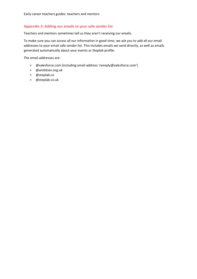# <span id="page-20-0"></span>**Appendix 3: Adding our emails to your safe sender list**

Teachers and mentors sometimes tell us they aren't receiving our emails.

To make sure you can access all our information in good time, we ask you to add all our email addresses to your email safe sender list. This includes emails we send directly, as well as emails generated automatically about your events or Steplab profile.

The email addresses are:

- > @salesforce.com (including email address 'noreply@salesforce.com')
- > @ambition.org.uk
- > @steplab.co
- > @steplab.co.uk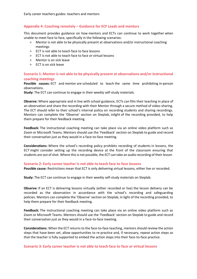# <span id="page-21-0"></span>**Appendix 4: Coaching remotely – Guidance for ECF Leads and mentors**

This document provides guidance on how mentors and ECTs can continue to work together when unable to meet face to face, specifically in the following scenarios:

- > Mentor is not able to be physically present at observations and/or instructional coaching meetings
- > ECT is not able to teach face to face lessons
- > ECT is not able to teach face to face *or* virtual lessons
- > Mentor is on sick leave
- > ECT is on sick leave

## **Scenario 1: Mentor is not able to be physically present at observations and/or instructional coaching meetings**

**Possible causes:** ECT and mentor are scheduled to teach the same time prohibiting in-person observations.

**Study:** The ECT can continue to engage in their weekly self-study materials.

**Observe:** Where appropriate and in line with school guidance, ECTs can film their teaching in place of an observation and share the recording with their Mentor through a secure method of video-sharing. The ECT should refer to their school's internal policy on recording students and sharing recordings. Mentors can complete the 'Observe' section on Steplab, inlight of the recording provided, to help them prepare for their feedback meeting.

**Feedback:** The instructional coaching meeting can take place via an online video platform such as Zoom or Microsoft Teams. Mentors should use the 'Feedback' section on Steplab to guide and record their conversation just as they would in a face-to-face meeting.

**Considerations:** Where the school's recording policy prohibits recording of students in lessons, the ECT might consider setting up the recording device at the front of the classroom ensuring that students are out of shot. Where this is not possible, the ECT can take an audio recording of their lesson

#### **Scenario 2: Early career teacher is not able to teach face to face lessons**

**Possible cause:** Restrictions mean that ECT is only delivering virtual lessons, either live or recorded.

**Study:** The ECT can continue to engage in their weekly self-study materials on Steplab.

**Observe:** If an ECT is delivering lessons virtually (either recorded or live) the lesson delivery can be recorded as the observation in accordance with the school's recording and safeguarding policies. Mentors can complete the 'Observe' section on Steplab, in light of the recording provided, to help them prepare for their feedback meeting.

**Feedback:** The instructional coaching meeting can take place via an online video platform such as Zoom or Microsoft Teams. Mentors should use the 'Feedback' section on Steplab to guide and record their conversation just as they would in a face-to-face meeting.

**Considerations:** When the ECT returns to the face-to-face teaching, mentors should review the action steps that have been set, allow opportunities to re-practice and, if necessary, repeat action steps so that the teacher is fully supported to embed the action steps into their face-to-face practice.

#### **Scenario 3: Early career teacher is not able to teach face to face** *or* **virtual lessons**